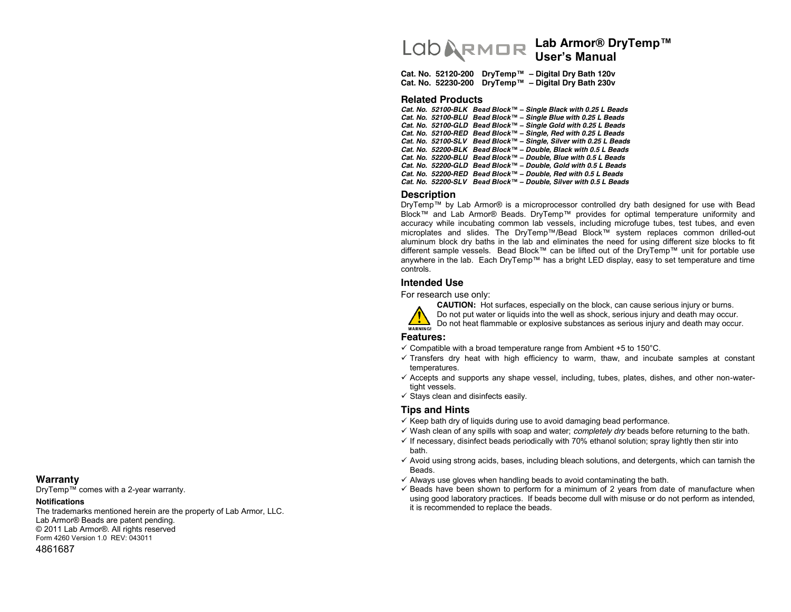# Lab Armor® DryTemp™ **User's Manual**

Cat. No. 52120-200 DryTemp<sup>™</sup> - Digital Dry Bath 120v **Cat. No. 52230-200 DryTemp™ - Digital Dry Bath 230v** 

#### **Related Products**

 $Cat. No. 52100-BLK$  *Bead Block*™ – Single Black with 0.25 L Beads  $Cat. No. 52100-BLU$  Bead Block<sup>™</sup> – Single Blue with 0.25 L Beads  $Cat. No. 52100-GLD$  Bead Block<sup>™</sup> - Single Gold with 0.25 L Beads  $Cat. No. 52100-RED$  Bead Block<sup>™</sup> – Single, Red with 0.25 L Beads *Cat. No. 52100-SLV Bead Block™ - Single, Silver with 0.25 L Beads*  $Cat. No. 52200-BLK$  *Bead Block*™ - *Double, Black with 0.5 L Beads*  $Cat. No. 52200-BLU$  *Bead Block*<sup>™</sup> - *Double, Blue with 0.5 L Beads*  $Cat. No. 52200-GLD$  Bead Block<sup>™</sup> - Double, Gold with 0.5 L Beads  $Cat. No. 52200-RED$  Bead Block<sup>™</sup> - Double, Red with 0.5 L Beads  $Cat. No. 52200-SLV$  Bead Block<sup>™</sup> - Double, Silver with 0.5 L Beads

#### **Description**

DryTemp™ by Lab Armor® is a microprocessor controlled dry bath designed for use with Bead Block™ and Lab Armor® Beads. DryTemp™ provides for optimal temperature uniformity and accuracy while incubating common lab vessels, including microfuge tubes, test tubes, and even microplates and slides. The DryTemp™/Bead Block™ system replaces common drilled-out aluminum block dry baths in the lab and eliminates the need for using different size blocks to fit different sample vessels. Bead Block™ can be lifted out of the DryTemp™ unit for portable use anywhere in the lab. Each DryTemp™ has a bright LED display, easy to set temperature and time controls.

# **Intended Use**

For research use only:



**CAUTION:** Hot surfaces, especially on the block, can cause serious injury or burns.

Do not put water or liquids into the well as shock, serious injury and death may occur.



Do not heat flammable or explosive substances as serious injury and death may occur.

# **Features:**

- $\checkmark$  Compatible with a broad temperature range from Ambient +5 to 150 $^{\circ}$ C.
- $\checkmark$  Transfers dry heat with high efficiency to warm, thaw, and incubate samples at constant temperatures.
- $\checkmark$  Accepts and supports any shape vessel, including, tubes, plates, dishes, and other non-watertight vessels.
- $\checkmark$  Stays clean and disinfects easily.

## **Tips and Hints**

- $\checkmark$  Keep bath dry of liquids during use to avoid damaging bead performance.
- $\checkmark$  Wash clean of any spills with soap and water; *completely dry* beads before returning to the bath.
- $\checkmark$  If necessary, disinfect beads periodically with 70% ethanol solution; spray lightly then stir into bath.
- $\checkmark$  Avoid using strong acids, bases, including bleach solutions, and detergents, which can tarnish the Beads.
- $\checkmark$  Always use gloves when handling beads to avoid contaminating the bath.
- $\checkmark$  Beads have been shown to perform for a minimum of 2 years from date of manufacture when using good laboratory practices. If beads become dull with misuse or do not perform as intended, it is recommended to replace the beads.

#### **Warranty**

 $DryTemp^{TM}$  comes with a 2-year warranty.

#### **Notifications**

The trademarks mentioned herein are the property of Lab Armor, LLC. Lab Armor® Beads are patent pending. © 2011 Lab Armor®. All rights reserved Form 4260 Version 1.0 REV: 043011 4861687